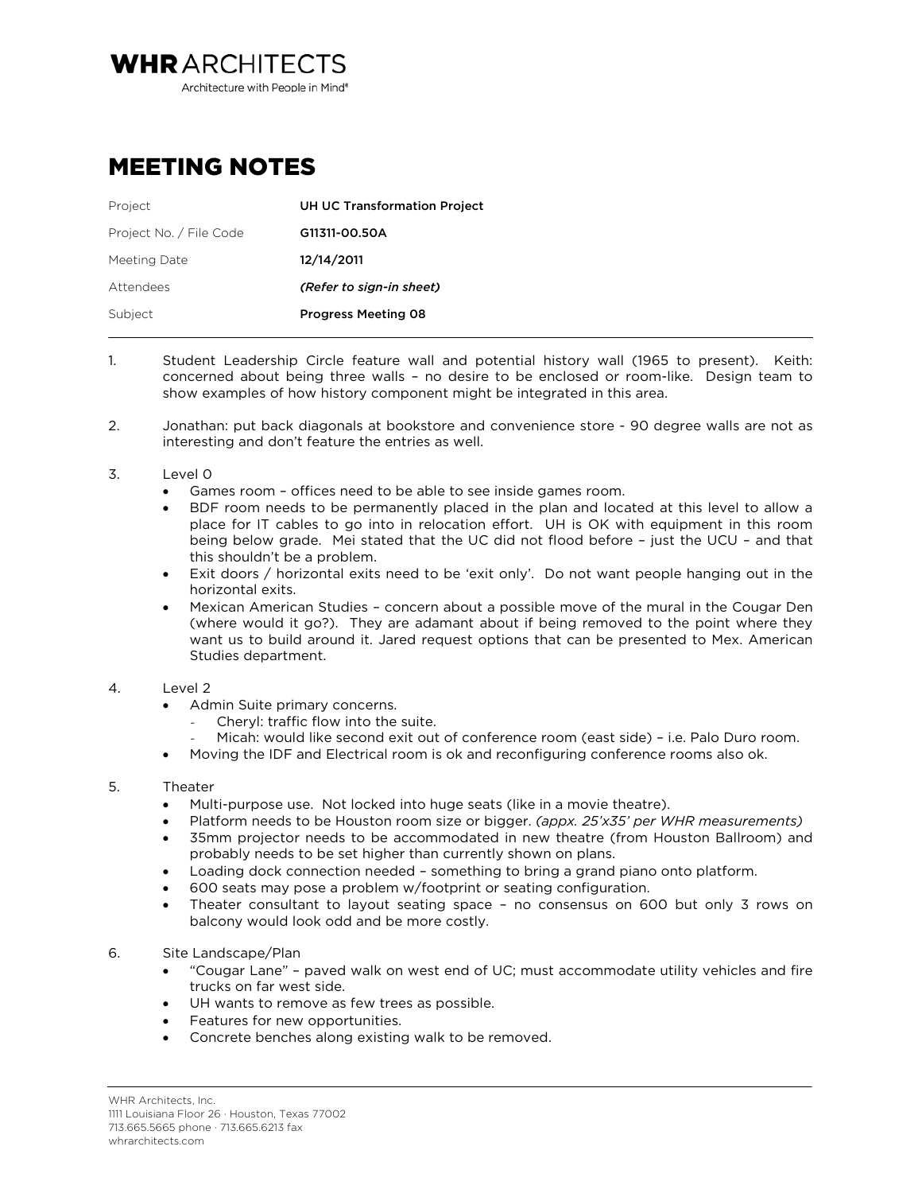Architecture with People in Mind<sup>®</sup>

## MEETING NOTES

**WHRARCHITECTS** 

| Project                 | <b>UH UC Transformation Project</b> |
|-------------------------|-------------------------------------|
| Project No. / File Code | G11311-00.50A                       |
| Meeting Date            | 12/14/2011                          |
| Attendees               | (Refer to sign-in sheet)            |
| Subject                 | <b>Progress Meeting 08</b>          |
|                         |                                     |

- 1. Student Leadership Circle feature wall and potential history wall (1965 to present). Keith: concerned about being three walls – no desire to be enclosed or room-like. Design team to show examples of how history component might be integrated in this area.
- 2. Jonathan: put back diagonals at bookstore and convenience store 90 degree walls are not as interesting and don't feature the entries as well.
- 3. Level 0
	- Games room offices need to be able to see inside games room.
	- BDF room needs to be permanently placed in the plan and located at this level to allow a place for IT cables to go into in relocation effort. UH is OK with equipment in this room being below grade. Mei stated that the UC did not flood before – just the UCU – and that this shouldn't be a problem.
	- Exit doors / horizontal exits need to be 'exit only'. Do not want people hanging out in the horizontal exits.
	- Mexican American Studies concern about a possible move of the mural in the Cougar Den (where would it go?). They are adamant about if being removed to the point where they want us to build around it. Jared request options that can be presented to Mex. American Studies department.

## 4. Level 2

- Admin Suite primary concerns.
	- *-* Cheryl: traffic flow into the suite.
	- *-* Micah: would like second exit out of conference room (east side) i.e. Palo Duro room.
- Moving the IDF and Electrical room is ok and reconfiguring conference rooms also ok.

## 5. Theater

- Multi-purpose use. Not locked into huge seats (like in a movie theatre).
- Platform needs to be Houston room size or bigger. *(appx. 25'x35' per WHR measurements)*
- 35mm projector needs to be accommodated in new theatre (from Houston Ballroom) and probably needs to be set higher than currently shown on plans.
- Loading dock connection needed something to bring a grand piano onto platform.
- 600 seats may pose a problem w/footprint or seating configuration.
- Theater consultant to layout seating space no consensus on 600 but only 3 rows on balcony would look odd and be more costly.

## 6. Site Landscape/Plan

- "Cougar Lane" paved walk on west end of UC; must accommodate utility vehicles and fire trucks on far west side.
- UH wants to remove as few trees as possible.
- Features for new opportunities.
- Concrete benches along existing walk to be removed.

WHR Architects, Inc. 1111 Louisiana Floor 26 · Houston, Texas 77002 713.665.5665 phone · 713.665.6213 fax whrarchitects.com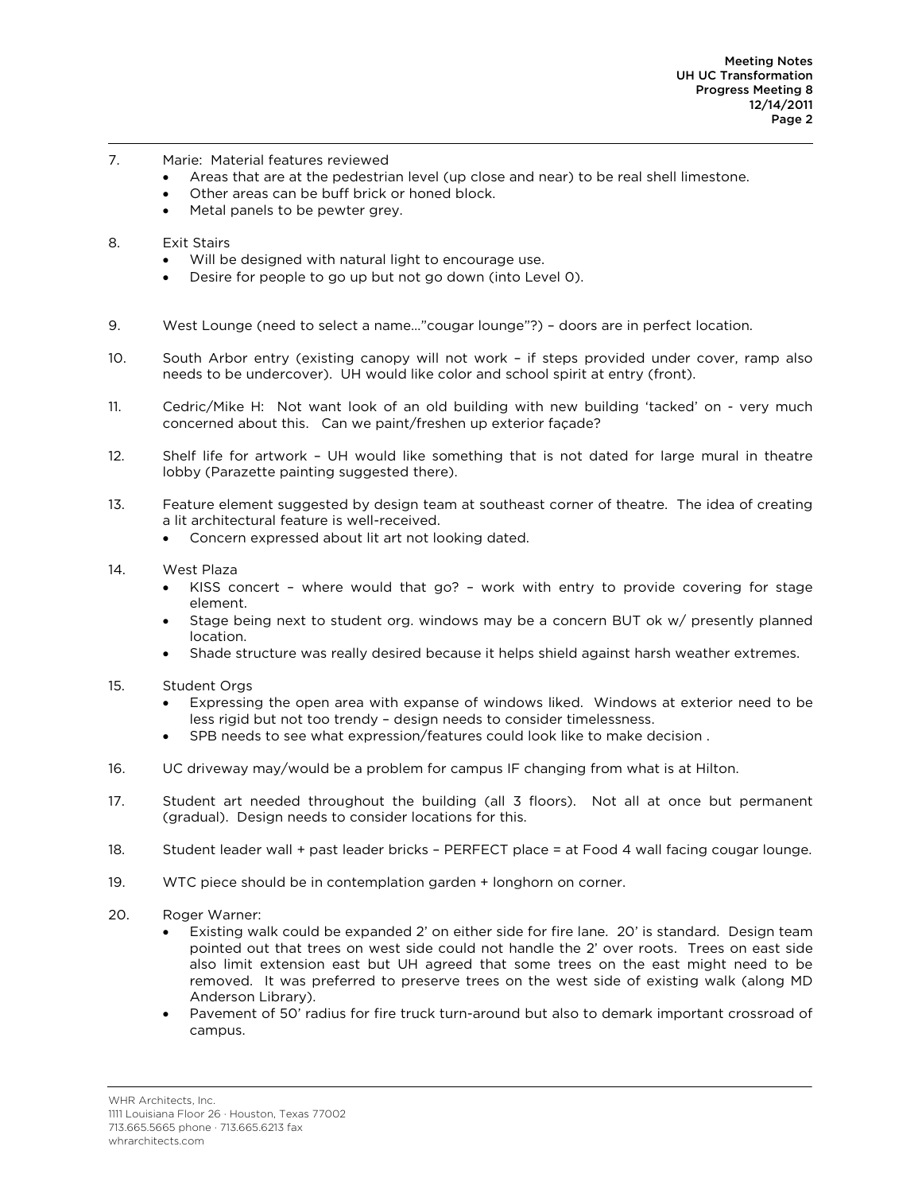- 7. Marie: Material features reviewed
	- Areas that are at the pedestrian level (up close and near) to be real shell limestone.
	- Other areas can be buff brick or honed block.
	- Metal panels to be pewter grey.
- 8. Exit Stairs
	- Will be designed with natural light to encourage use.
	- Desire for people to go up but not go down (into Level 0).
- 9. West Lounge (need to select a name…"cougar lounge"?) doors are in perfect location.
- 10. South Arbor entry (existing canopy will not work if steps provided under cover, ramp also needs to be undercover). UH would like color and school spirit at entry (front).
- 11. Cedric/Mike H: Not want look of an old building with new building 'tacked' on very much concerned about this. Can we paint/freshen up exterior façade?
- 12. Shelf life for artwork UH would like something that is not dated for large mural in theatre lobby (Parazette painting suggested there).
- 13. Feature element suggested by design team at southeast corner of theatre. The idea of creating a lit architectural feature is well-received.
	- Concern expressed about lit art not looking dated.
- 14. West Plaza
	- KISS concert where would that go? work with entry to provide covering for stage element.
	- Stage being next to student org. windows may be a concern BUT ok w/ presently planned location.
	- Shade structure was really desired because it helps shield against harsh weather extremes.
- 15. Student Orgs
	- Expressing the open area with expanse of windows liked. Windows at exterior need to be less rigid but not too trendy – design needs to consider timelessness.
	- SPB needs to see what expression/features could look like to make decision .
- 16. UC driveway may/would be a problem for campus IF changing from what is at Hilton.
- 17. Student art needed throughout the building (all 3 floors). Not all at once but permanent (gradual). Design needs to consider locations for this.
- 18. Student leader wall + past leader bricks PERFECT place = at Food 4 wall facing cougar lounge.
- 19. WTC piece should be in contemplation garden + longhorn on corner.
- 20. Roger Warner:
	- Existing walk could be expanded 2' on either side for fire lane. 20' is standard. Design team pointed out that trees on west side could not handle the 2' over roots. Trees on east side also limit extension east but UH agreed that some trees on the east might need to be removed. It was preferred to preserve trees on the west side of existing walk (along MD Anderson Library).
	- Pavement of 50' radius for fire truck turn-around but also to demark important crossroad of campus.